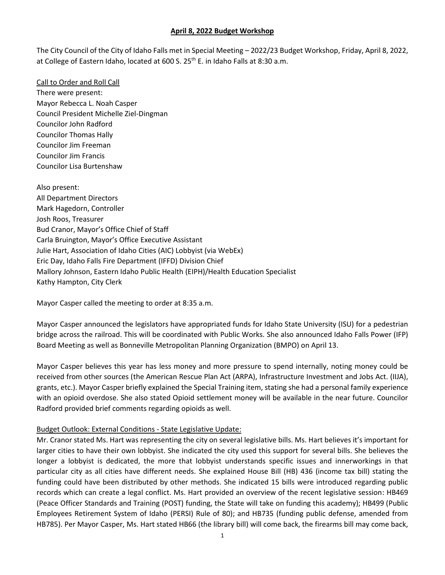The City Council of the City of Idaho Falls met in Special Meeting – 2022/23 Budget Workshop, Friday, April 8, 2022, at College of Eastern Idaho, located at 600 S. 25<sup>th</sup> E. in Idaho Falls at 8:30 a.m.

Call to Order and Roll Call There were present: Mayor Rebecca L. Noah Casper Council President Michelle Ziel-Dingman Councilor John Radford Councilor Thomas Hally Councilor Jim Freeman Councilor Jim Francis Councilor Lisa Burtenshaw

Also present: All Department Directors Mark Hagedorn, Controller Josh Roos, Treasurer Bud Cranor, Mayor's Office Chief of Staff Carla Bruington, Mayor's Office Executive Assistant Julie Hart, Association of Idaho Cities (AIC) Lobbyist (via WebEx) Eric Day, Idaho Falls Fire Department (IFFD) Division Chief Mallory Johnson, Eastern Idaho Public Health (EIPH)/Health Education Specialist Kathy Hampton, City Clerk

Mayor Casper called the meeting to order at 8:35 a.m.

Mayor Casper announced the legislators have appropriated funds for Idaho State University (ISU) for a pedestrian bridge across the railroad. This will be coordinated with Public Works. She also announced Idaho Falls Power (IFP) Board Meeting as well as Bonneville Metropolitan Planning Organization (BMPO) on April 13.

Mayor Casper believes this year has less money and more pressure to spend internally, noting money could be received from other sources (the American Rescue Plan Act (ARPA), Infrastructure Investment and Jobs Act. (IIJA), grants, etc.). Mayor Casper briefly explained the Special Training item, stating she had a personal family experience with an opioid overdose. She also stated Opioid settlement money will be available in the near future. Councilor Radford provided brief comments regarding opioids as well.

## Budget Outlook: External Conditions - State Legislative Update:

Mr. Cranor stated Ms. Hart was representing the city on several legislative bills. Ms. Hart believes it's important for larger cities to have their own lobbyist. She indicated the city used this support for several bills. She believes the longer a lobbyist is dedicated, the more that lobbyist understands specific issues and innerworkings in that particular city as all cities have different needs. She explained House Bill (HB) 436 (income tax bill) stating the funding could have been distributed by other methods. She indicated 15 bills were introduced regarding public records which can create a legal conflict. Ms. Hart provided an overview of the recent legislative session: HB469 (Peace Officer Standards and Training (POST) funding, the State will take on funding this academy); HB499 (Public Employees Retirement System of Idaho (PERSI) Rule of 80); and HB735 (funding public defense, amended from HB785). Per Mayor Casper, Ms. Hart stated HB66 (the library bill) will come back, the firearms bill may come back,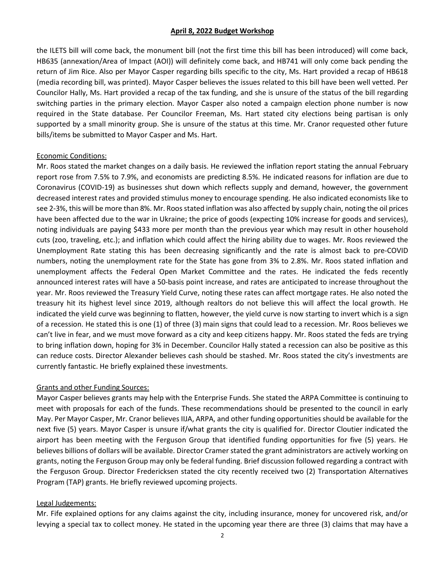the ILETS bill will come back, the monument bill (not the first time this bill has been introduced) will come back, HB635 (annexation/Area of Impact (AOI)) will definitely come back, and HB741 will only come back pending the return of Jim Rice. Also per Mayor Casper regarding bills specific to the city, Ms. Hart provided a recap of HB618 (media recording bill, was printed). Mayor Casper believes the issues related to this bill have been well vetted. Per Councilor Hally, Ms. Hart provided a recap of the tax funding, and she is unsure of the status of the bill regarding switching parties in the primary election. Mayor Casper also noted a campaign election phone number is now required in the State database. Per Councilor Freeman, Ms. Hart stated city elections being partisan is only supported by a small minority group. She is unsure of the status at this time. Mr. Cranor requested other future bills/items be submitted to Mayor Casper and Ms. Hart.

## Economic Conditions:

Mr. Roos stated the market changes on a daily basis. He reviewed the inflation report stating the annual February report rose from 7.5% to 7.9%, and economists are predicting 8.5%. He indicated reasons for inflation are due to Coronavirus (COVID-19) as businesses shut down which reflects supply and demand, however, the government decreased interest rates and provided stimulus money to encourage spending. He also indicated economists like to see 2-3%, this will be more than 8%. Mr. Roos stated inflation was also affected by supply chain, noting the oil prices have been affected due to the war in Ukraine; the price of goods (expecting 10% increase for goods and services), noting individuals are paying \$433 more per month than the previous year which may result in other household cuts (zoo, traveling, etc.); and inflation which could affect the hiring ability due to wages. Mr. Roos reviewed the Unemployment Rate stating this has been decreasing significantly and the rate is almost back to pre-COVID numbers, noting the unemployment rate for the State has gone from 3% to 2.8%. Mr. Roos stated inflation and unemployment affects the Federal Open Market Committee and the rates. He indicated the feds recently announced interest rates will have a 50-basis point increase, and rates are anticipated to increase throughout the year. Mr. Roos reviewed the Treasury Yield Curve, noting these rates can affect mortgage rates. He also noted the treasury hit its highest level since 2019, although realtors do not believe this will affect the local growth. He indicated the yield curve was beginning to flatten, however, the yield curve is now starting to invert which is a sign of a recession. He stated this is one (1) of three (3) main signs that could lead to a recession. Mr. Roos believes we can't live in fear, and we must move forward as a city and keep citizens happy. Mr. Roos stated the feds are trying to bring inflation down, hoping for 3% in December. Councilor Hally stated a recession can also be positive as this can reduce costs. Director Alexander believes cash should be stashed. Mr. Roos stated the city's investments are currently fantastic. He briefly explained these investments.

## Grants and other Funding Sources:

Mayor Casper believes grants may help with the Enterprise Funds. She stated the ARPA Committee is continuing to meet with proposals for each of the funds. These recommendations should be presented to the council in early May. Per Mayor Casper, Mr. Cranor believes IIJA, ARPA, and other funding opportunities should be available for the next five (5) years. Mayor Casper is unsure if/what grants the city is qualified for. Director Cloutier indicated the airport has been meeting with the Ferguson Group that identified funding opportunities for five (5) years. He believes billions of dollars will be available. Director Cramer stated the grant administrators are actively working on grants, noting the Ferguson Group may only be federal funding. Brief discussion followed regarding a contract with the Ferguson Group. Director Fredericksen stated the city recently received two (2) Transportation Alternatives Program (TAP) grants. He briefly reviewed upcoming projects.

## Legal Judgements:

Mr. Fife explained options for any claims against the city, including insurance, money for uncovered risk, and/or levying a special tax to collect money. He stated in the upcoming year there are three (3) claims that may have a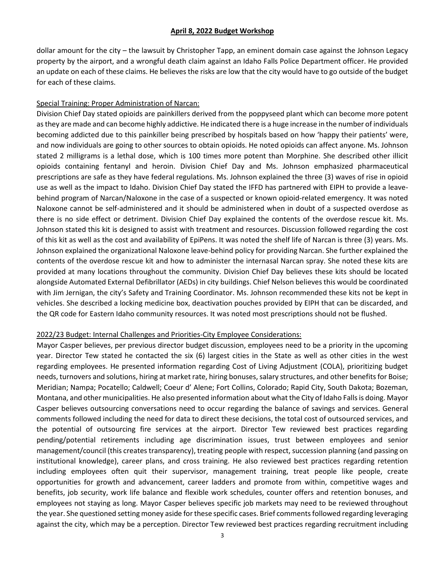dollar amount for the city – the lawsuit by Christopher Tapp, an eminent domain case against the Johnson Legacy property by the airport, and a wrongful death claim against an Idaho Falls Police Department officer. He provided an update on each of these claims. He believes the risks are low that the city would have to go outside of the budget for each of these claims.

## Special Training: Proper Administration of Narcan:

Division Chief Day stated opioids are painkillers derived from the poppyseed plant which can become more potent as they are made and can become highly addictive. He indicated there is a huge increase in the number of individuals becoming addicted due to this painkiller being prescribed by hospitals based on how 'happy their patients' were, and now individuals are going to other sources to obtain opioids. He noted opioids can affect anyone. Ms. Johnson stated 2 milligrams is a lethal dose, which is 100 times more potent than Morphine. She described other illicit opioids containing fentanyl and heroin. Division Chief Day and Ms. Johnson emphasized pharmaceutical prescriptions are safe as they have federal regulations. Ms. Johnson explained the three (3) waves of rise in opioid use as well as the impact to Idaho. Division Chief Day stated the IFFD has partnered with EIPH to provide a leavebehind program of Narcan/Naloxone in the case of a suspected or known opioid-related emergency. It was noted Naloxone cannot be self-administered and it should be administered when in doubt of a suspected overdose as there is no side effect or detriment. Division Chief Day explained the contents of the overdose rescue kit. Ms. Johnson stated this kit is designed to assist with treatment and resources. Discussion followed regarding the cost of this kit as well as the cost and availability of EpiPens. It was noted the shelf life of Narcan is three (3) years. Ms. Johnson explained the organizational Naloxone leave-behind policy for providing Narcan. She further explained the contents of the overdose rescue kit and how to administer the internasal Narcan spray. She noted these kits are provided at many locations throughout the community. Division Chief Day believes these kits should be located alongside Automated External Defibrillator (AEDs) in city buildings. Chief Nelson believes this would be coordinated with Jim Jernigan, the city's Safety and Training Coordinator. Ms. Johnson recommended these kits not be kept in vehicles. She described a locking medicine box, deactivation pouches provided by EIPH that can be discarded, and the QR code for Eastern Idaho community resources. It was noted most prescriptions should not be flushed.

## 2022/23 Budget: Internal Challenges and Priorities-City Employee Considerations:

Mayor Casper believes, per previous director budget discussion, employees need to be a priority in the upcoming year. Director Tew stated he contacted the six (6) largest cities in the State as well as other cities in the west regarding employees. He presented information regarding Cost of Living Adjustment (COLA), prioritizing budget needs, turnovers and solutions, hiring at market rate, hiring bonuses, salary structures, and other benefits for Boise; Meridian; Nampa; Pocatello; Caldwell; Coeur d' Alene; Fort Collins, Colorado; Rapid City, South Dakota; Bozeman, Montana, and other municipalities. He also presented information about what the City of Idaho Falls is doing. Mayor Casper believes outsourcing conversations need to occur regarding the balance of savings and services. General comments followed including the need for data to direct these decisions, the total cost of outsourced services, and the potential of outsourcing fire services at the airport. Director Tew reviewed best practices regarding pending/potential retirements including age discrimination issues, trust between employees and senior management/council (this creates transparency), treating people with respect, succession planning (and passing on institutional knowledge), career plans, and cross training. He also reviewed best practices regarding retention including employees often quit their supervisor, management training, treat people like people, create opportunities for growth and advancement, career ladders and promote from within, competitive wages and benefits, job security, work life balance and flexible work schedules, counter offers and retention bonuses, and employees not staying as long. Mayor Casper believes specific job markets may need to be reviewed throughout the year. She questioned setting money aside for these specific cases. Brief comments followed regarding leveraging against the city, which may be a perception. Director Tew reviewed best practices regarding recruitment including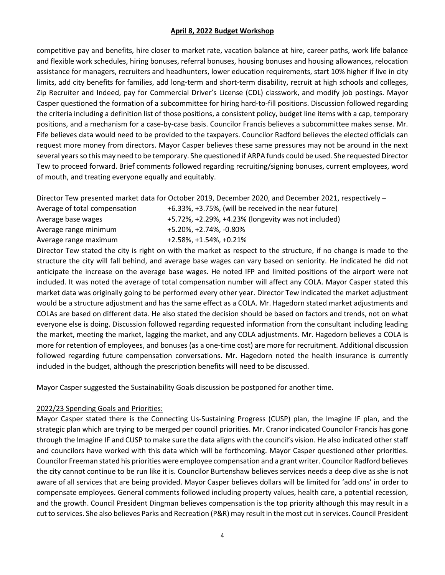competitive pay and benefits, hire closer to market rate, vacation balance at hire, career paths, work life balance and flexible work schedules, hiring bonuses, referral bonuses, housing bonuses and housing allowances, relocation assistance for managers, recruiters and headhunters, lower education requirements, start 10% higher if live in city limits, add city benefits for families, add long-term and short-term disability, recruit at high schools and colleges, Zip Recruiter and Indeed, pay for Commercial Driver's License (CDL) classwork, and modify job postings. Mayor Casper questioned the formation of a subcommittee for hiring hard-to-fill positions. Discussion followed regarding the criteria including a definition list of those positions, a consistent policy, budget line items with a cap, temporary positions, and a mechanism for a case-by-case basis. Councilor Francis believes a subcommittee makes sense. Mr. Fife believes data would need to be provided to the taxpayers. Councilor Radford believes the elected officials can request more money from directors. Mayor Casper believes these same pressures may not be around in the next several years so this may need to be temporary. She questioned if ARPA funds could be used. She requested Director Tew to proceed forward. Brief comments followed regarding recruiting/signing bonuses, current employees, word of mouth, and treating everyone equally and equitably.

Director Tew presented market data for October 2019, December 2020, and December 2021, respectively –

| Average of total compensation | +6.33%, +3.75%, (will be received in the near future) |
|-------------------------------|-------------------------------------------------------|
| Average base wages            | +5.72%, +2.29%, +4.23% (longevity was not included)   |
| Average range minimum         | +5.20%. +2.74%. -0.80%                                |
| Average range maximum         | +2.58%, +1.54%, +0.21%                                |
|                               |                                                       |

Director Tew stated the city is right on with the market as respect to the structure, if no change is made to the structure the city will fall behind, and average base wages can vary based on seniority. He indicated he did not anticipate the increase on the average base wages. He noted IFP and limited positions of the airport were not included. It was noted the average of total compensation number will affect any COLA. Mayor Casper stated this market data was originally going to be performed every other year. Director Tew indicated the market adjustment would be a structure adjustment and has the same effect as a COLA. Mr. Hagedorn stated market adjustments and COLAs are based on different data. He also stated the decision should be based on factors and trends, not on what everyone else is doing. Discussion followed regarding requested information from the consultant including leading the market, meeting the market, lagging the market, and any COLA adjustments. Mr. Hagedorn believes a COLA is more for retention of employees, and bonuses (as a one-time cost) are more for recruitment. Additional discussion followed regarding future compensation conversations. Mr. Hagedorn noted the health insurance is currently included in the budget, although the prescription benefits will need to be discussed.

Mayor Casper suggested the Sustainability Goals discussion be postponed for another time.

# 2022/23 Spending Goals and Priorities:

Mayor Casper stated there is the Connecting Us-Sustaining Progress (CUSP) plan, the Imagine IF plan, and the strategic plan which are trying to be merged per council priorities. Mr. Cranor indicated Councilor Francis has gone through the Imagine IF and CUSP to make sure the data aligns with the council's vision. He also indicated other staff and councilors have worked with this data which will be forthcoming. Mayor Casper questioned other priorities. Councilor Freeman stated his priorities were employee compensation and a grant writer. Councilor Radford believes the city cannot continue to be run like it is. Councilor Burtenshaw believes services needs a deep dive as she is not aware of all services that are being provided. Mayor Casper believes dollars will be limited for 'add ons' in order to compensate employees. General comments followed including property values, health care, a potential recession, and the growth. Council President Dingman believes compensation is the top priority although this may result in a cut to services. She also believes Parks and Recreation (P&R) may result in the most cut in services. Council President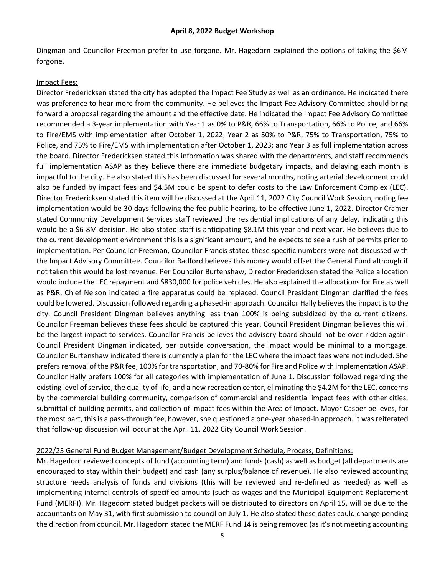Dingman and Councilor Freeman prefer to use forgone. Mr. Hagedorn explained the options of taking the \$6M forgone.

#### Impact Fees:

Director Fredericksen stated the city has adopted the Impact Fee Study as well as an ordinance. He indicated there was preference to hear more from the community. He believes the Impact Fee Advisory Committee should bring forward a proposal regarding the amount and the effective date. He indicated the Impact Fee Advisory Committee recommended a 3-year implementation with Year 1 as 0% to P&R, 66% to Transportation, 66% to Police, and 66% to Fire/EMS with implementation after October 1, 2022; Year 2 as 50% to P&R, 75% to Transportation, 75% to Police, and 75% to Fire/EMS with implementation after October 1, 2023; and Year 3 as full implementation across the board. Director Fredericksen stated this information was shared with the departments, and staff recommends full implementation ASAP as they believe there are immediate budgetary impacts, and delaying each month is impactful to the city. He also stated this has been discussed for several months, noting arterial development could also be funded by impact fees and \$4.5M could be spent to defer costs to the Law Enforcement Complex (LEC). Director Fredericksen stated this item will be discussed at the April 11, 2022 City Council Work Session, noting fee implementation would be 30 days following the fee public hearing, to be effective June 1, 2022. Director Cramer stated Community Development Services staff reviewed the residential implications of any delay, indicating this would be a \$6-8M decision. He also stated staff is anticipating \$8.1M this year and next year. He believes due to the current development environment this is a significant amount, and he expects to see a rush of permits prior to implementation. Per Councilor Freeman, Councilor Francis stated these specific numbers were not discussed with the Impact Advisory Committee. Councilor Radford believes this money would offset the General Fund although if not taken this would be lost revenue. Per Councilor Burtenshaw, Director Fredericksen stated the Police allocation would include the LEC repayment and \$830,000 for police vehicles. He also explained the allocations for Fire as well as P&R. Chief Nelson indicated a fire apparatus could be replaced. Council President Dingman clarified the fees could be lowered. Discussion followed regarding a phased-in approach. Councilor Hally believes the impact is to the city. Council President Dingman believes anything less than 100% is being subsidized by the current citizens. Councilor Freeman believes these fees should be captured this year. Council President Dingman believes this will be the largest impact to services. Councilor Francis believes the advisory board should not be over-ridden again. Council President Dingman indicated, per outside conversation, the impact would be minimal to a mortgage. Councilor Burtenshaw indicated there is currently a plan for the LEC where the impact fees were not included. She prefers removal of the P&R fee, 100% for transportation, and 70-80% for Fire and Police with implementation ASAP. Councilor Hally prefers 100% for all categories with implementation of June 1. Discussion followed regarding the existing level of service, the quality of life, and a new recreation center, eliminating the \$4.2M for the LEC, concerns by the commercial building community, comparison of commercial and residential impact fees with other cities, submittal of building permits, and collection of impact fees within the Area of Impact. Mayor Casper believes, for the most part, this is a pass-through fee, however, she questioned a one-year phased-in approach. It was reiterated that follow-up discussion will occur at the April 11, 2022 City Council Work Session.

#### 2022/23 General Fund Budget Management/Budget Development Schedule, Process, Definitions:

Mr. Hagedorn reviewed concepts of fund (accounting term) and funds (cash) as well as budget (all departments are encouraged to stay within their budget) and cash (any surplus/balance of revenue). He also reviewed accounting structure needs analysis of funds and divisions (this will be reviewed and re-defined as needed) as well as implementing internal controls of specified amounts (such as wages and the Municipal Equipment Replacement Fund (MERF)). Mr. Hagedorn stated budget packets will be distributed to directors on April 15, will be due to the accountants on May 31, with first submission to council on July 1. He also stated these dates could change pending the direction from council. Mr. Hagedorn stated the MERF Fund 14 is being removed (as it's not meeting accounting